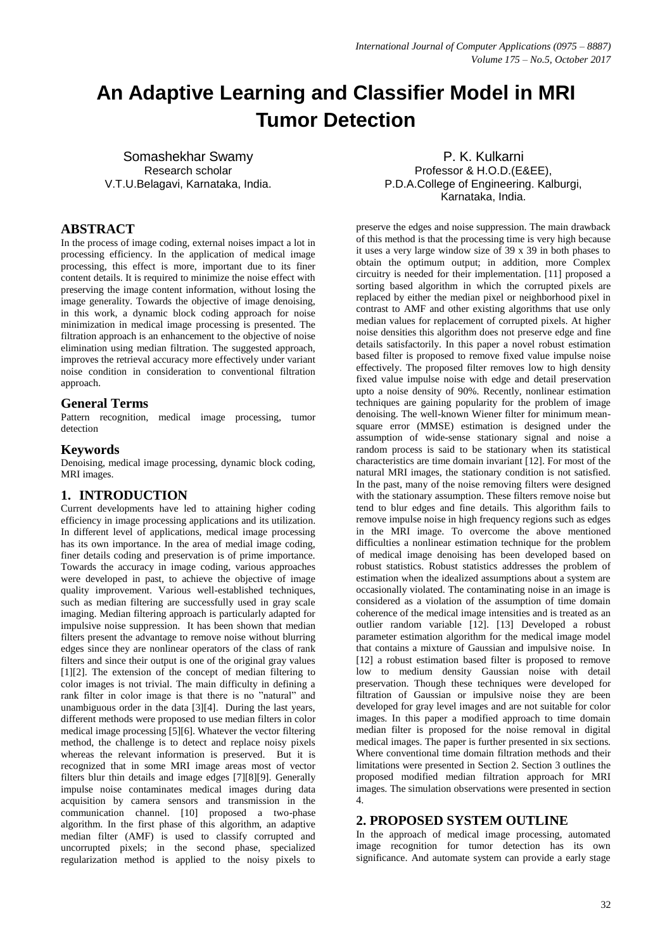# **An Adaptive Learning and Classifier Model in MRI Tumor Detection**

Somashekhar Swamy Research scholar V.T.U.Belagavi, Karnataka, India.

# **ABSTRACT**

In the process of image coding, external noises impact a lot in processing efficiency. In the application of medical image processing, this effect is more, important due to its finer content details. It is required to minimize the noise effect with preserving the image content information, without losing the image generality. Towards the objective of image denoising, in this work, a dynamic block coding approach for noise minimization in medical image processing is presented. The filtration approach is an enhancement to the objective of noise elimination using median filtration. The suggested approach, improves the retrieval accuracy more effectively under variant noise condition in consideration to conventional filtration approach.

# **General Terms**

Pattern recognition, medical image processing, tumor detection

# **Keywords**

Denoising, medical image processing, dynamic block coding, MRI images.

# **1. INTRODUCTION**

Current developments have led to attaining higher coding efficiency in image processing applications and its utilization. In different level of applications, medical image processing has its own importance. In the area of medial image coding, finer details coding and preservation is of prime importance. Towards the accuracy in image coding, various approaches were developed in past, to achieve the objective of image quality improvement. Various well-established techniques, such as median filtering are successfully used in gray scale imaging. Median filtering approach is particularly adapted for impulsive noise suppression. It has been shown that median filters present the advantage to remove noise without blurring edges since they are nonlinear operators of the class of rank filters and since their output is one of the original gray values [1][2]. The extension of the concept of median filtering to color images is not trivial. The main difficulty in defining a rank filter in color image is that there is no "natural" and unambiguous order in the data [3][4]. During the last years, different methods were proposed to use median filters in color medical image processing [5][6]. Whatever the vector filtering method, the challenge is to detect and replace noisy pixels whereas the relevant information is preserved. But it is recognized that in some MRI image areas most of vector filters blur thin details and image edges [7][8][9]. Generally impulse noise contaminates medical images during data acquisition by camera sensors and transmission in the communication channel. [10] proposed a two-phase algorithm. In the first phase of this algorithm, an adaptive median filter (AMF) is used to classify corrupted and uncorrupted pixels; in the second phase, specialized regularization method is applied to the noisy pixels to

P. K. Kulkarni Professor & H.O.D.(E&EE), P.D.A.College of Engineering. Kalburgi, Karnataka, India.

preserve the edges and noise suppression. The main drawback of this method is that the processing time is very high because it uses a very large window size of 39 x 39 in both phases to obtain the optimum output; in addition, more Complex circuitry is needed for their implementation. [11] proposed a sorting based algorithm in which the corrupted pixels are replaced by either the median pixel or neighborhood pixel in contrast to AMF and other existing algorithms that use only median values for replacement of corrupted pixels. At higher noise densities this algorithm does not preserve edge and fine details satisfactorily. In this paper a novel robust estimation based filter is proposed to remove fixed value impulse noise effectively. The proposed filter removes low to high density fixed value impulse noise with edge and detail preservation upto a noise density of 90%. Recently, nonlinear estimation techniques are gaining popularity for the problem of image denoising. The well-known Wiener filter for minimum meansquare error (MMSE) estimation is designed under the assumption of wide-sense stationary signal and noise a random process is said to be stationary when its statistical characteristics are time domain invariant [12]. For most of the natural MRI images, the stationary condition is not satisfied. In the past, many of the noise removing filters were designed with the stationary assumption. These filters remove noise but tend to blur edges and fine details. This algorithm fails to remove impulse noise in high frequency regions such as edges in the MRI image. To overcome the above mentioned difficulties a nonlinear estimation technique for the problem of medical image denoising has been developed based on robust statistics. Robust statistics addresses the problem of estimation when the idealized assumptions about a system are occasionally violated. The contaminating noise in an image is considered as a violation of the assumption of time domain coherence of the medical image intensities and is treated as an outlier random variable [12]. [13] Developed a robust parameter estimation algorithm for the medical image model that contains a mixture of Gaussian and impulsive noise. In [12] a robust estimation based filter is proposed to remove low to medium density Gaussian noise with detail preservation. Though these techniques were developed for filtration of Gaussian or impulsive noise they are been developed for gray level images and are not suitable for color images. In this paper a modified approach to time domain median filter is proposed for the noise removal in digital medical images. The paper is further presented in six sections. Where conventional time domain filtration methods and their limitations were presented in Section 2. Section 3 outlines the proposed modified median filtration approach for MRI images. The simulation observations were presented in section 4.

# **2. PROPOSED SYSTEM OUTLINE**

In the approach of medical image processing, automated image recognition for tumor detection has its own significance. And automate system can provide a early stage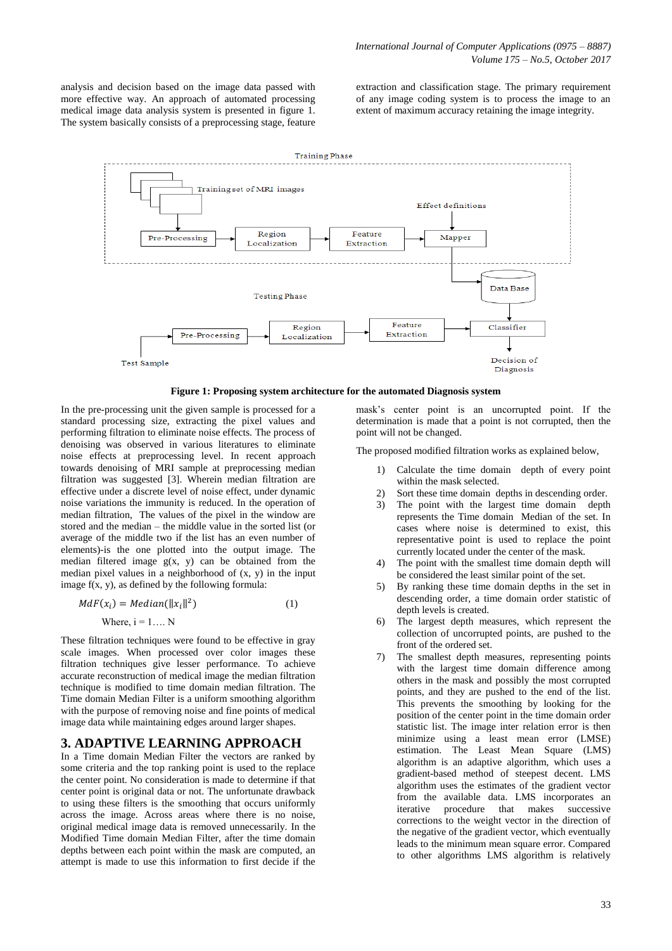analysis and decision based on the image data passed with more effective way. An approach of automated processing medical image data analysis system is presented in figure 1. The system basically consists of a preprocessing stage, feature

extraction and classification stage. The primary requirement of any image coding system is to process the image to an extent of maximum accuracy retaining the image integrity.





In the pre-processing unit the given sample is processed for a standard processing size, extracting the pixel values and performing filtration to eliminate noise effects. The process of denoising was observed in various literatures to eliminate noise effects at preprocessing level. In recent approach towards denoising of MRI sample at preprocessing median filtration was suggested [3]. Wherein median filtration are effective under a discrete level of noise effect, under dynamic noise variations the immunity is reduced. In the operation of median filtration, The values of the pixel in the window are stored and the median – the middle value in the sorted list (or average of the middle two if the list has an even number of elements)-is the one plotted into the output image. The median filtered image  $g(x, y)$  can be obtained from the median pixel values in a neighborhood of (x, y) in the input image f(x, y), as defined by the following formula:

$$
MdF(x_i) = Median(||x_i||^2)
$$
  
Where, i = 1.... N

These filtration techniques were found to be effective in gray scale images. When processed over color images these filtration techniques give lesser performance. To achieve accurate reconstruction of medical image the median filtration technique is modified to time domain median filtration. The Time domain Median Filter is a uniform smoothing algorithm with the purpose of removing noise and fine points of medical image data while maintaining edges around larger shapes.

# **3. ADAPTIVE LEARNING APPROACH**

In a Time domain Median Filter the vectors are ranked by some criteria and the top ranking point is used to the replace the center point. No consideration is made to determine if that center point is original data or not. The unfortunate drawback to using these filters is the smoothing that occurs uniformly across the image. Across areas where there is no noise, original medical image data is removed unnecessarily. In the Modified Time domain Median Filter, after the time domain depths between each point within the mask are computed, an attempt is made to use this information to first decide if the

mask's center point is an uncorrupted point. If the determination is made that a point is not corrupted, then the point will not be changed.

The proposed modified filtration works as explained below,

- 1) Calculate the time domain depth of every point within the mask selected.
- 2) Sort these time domain depths in descending order.
- 3) The point with the largest time domain depth represents the Time domain Median of the set. In cases where noise is determined to exist, this representative point is used to replace the point currently located under the center of the mask.
- 4) The point with the smallest time domain depth will be considered the least similar point of the set.
- 5) By ranking these time domain depths in the set in descending order, a time domain order statistic of depth levels is created.
- 6) The largest depth measures, which represent the collection of uncorrupted points, are pushed to the front of the ordered set.
- 7) The smallest depth measures, representing points with the largest time domain difference among others in the mask and possibly the most corrupted points, and they are pushed to the end of the list. This prevents the smoothing by looking for the position of the center point in the time domain order statistic list. The image inter relation error is then minimize using a least mean error (LMSE) estimation. The Least Mean Square (LMS) algorithm is an adaptive algorithm, which uses a gradient-based method of steepest decent. LMS algorithm uses the estimates of the gradient vector from the available data. LMS incorporates an iterative procedure that makes successive corrections to the weight vector in the direction of the negative of the gradient vector, which eventually leads to the minimum mean square error. Compared to other algorithms LMS algorithm is relatively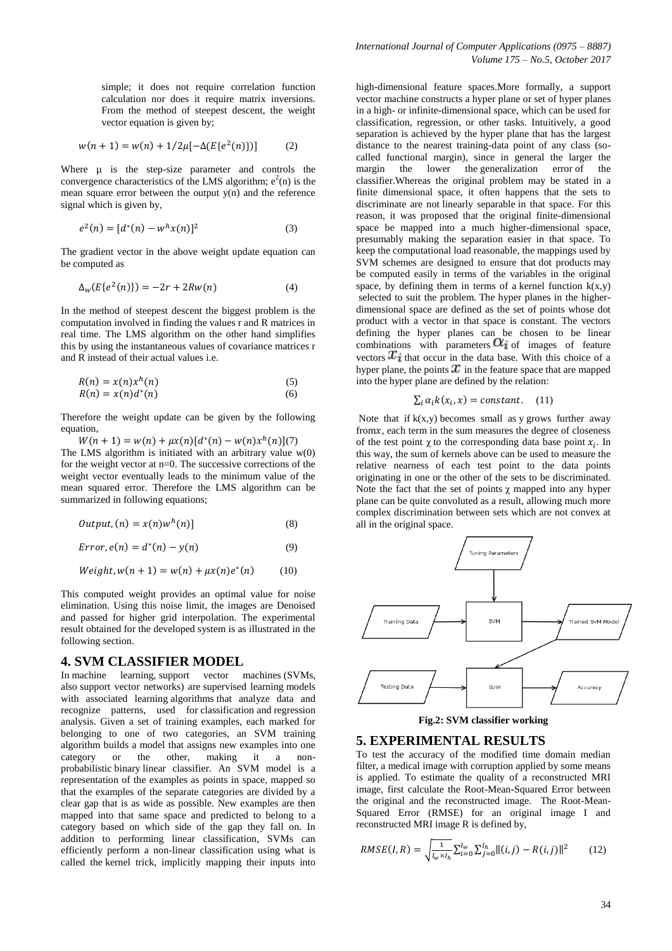simple; it does not require correlation function calculation nor does it require matrix inversions. From the method of steepest descent, the weight vector equation is given by;

$$
w(n + 1) = w(n) + 1/2\mu[-\Delta(E\{e^{2}(n)\})]
$$
 (2)

Where  $\mu$  is the step-size parameter and controls the convergence characteristics of the LMS algorithm;  $e^{2}(n)$  is the mean square error between the output y(n) and the reference signal which is given by,

$$
e^{2}(n) = [d^{*}(n) - w^{h}x(n)]^{2}
$$
 (3)

The gradient vector in the above weight update equation can be computed as

$$
\Delta_{w}(E\{e^{2}(n)\}) = -2r + 2Rw(n) \tag{4}
$$

In the method of steepest descent the biggest problem is the computation involved in finding the values r and R matrices in real time. The LMS algorithm on the other hand simplifies this by using the instantaneous values of covariance matrices r and R instead of their actual values i.e.

$$
R(n) = x(n)xh(n)
$$
  
\n
$$
R(n) = x(n)d*(n)
$$
\n(5)  
\n(6)

Therefore the weight update can be given by the following equation,

 $W(n + 1) = w(n) + \mu x(n)[d^{*}(n) - w(n)x^{h}(n)](7)$ The LMS algorithm is initiated with an arbitrary value  $w(0)$ for the weight vector at n=0. The successive corrections of the weight vector eventually leads to the minimum value of the mean squared error. Therefore the LMS algorithm can be summarized in following equations;

$$
Output, (n) = x(n)wh(n)
$$
\n(8)

*Error, e(n)* =  $d^{*}(n) - y(n)$  (9)

$$
Weight, w(n + 1) = w(n) + \mu x(n)e^*(n) \qquad (10)
$$

This computed weight provides an optimal value for noise elimination. Using this noise limit, the images are Denoised and passed for higher grid interpolation. The experimental result obtained for the developed system is as illustrated in the following section.

#### **4. SVM CLASSIFIER MODEL**

In machine learning, support vector machines (SVMs, also support vector networks) are supervised learning models with associated learning algorithms that analyze data and recognize patterns, used for classification and regression analysis. Given a set of training examples, each marked for belonging to one of two categories, an SVM training algorithm builds a model that assigns new examples into one category or the other, making it a nonprobabilistic binary linear classifier. An SVM model is a representation of the examples as points in space, mapped so that the examples of the separate categories are divided by a clear gap that is as wide as possible. New examples are then mapped into that same space and predicted to belong to a category based on which side of the gap they fall on. In addition to performing linear classification, SVMs can efficiently perform a non-linear classification using what is called the kernel trick, implicitly mapping their inputs into

high-dimensional feature spaces.More formally, a support vector machine constructs a hyper plane or set of hyper planes in a high- or infinite-dimensional space, which can be used for classification, regression, or other tasks. Intuitively, a good separation is achieved by the hyper plane that has the largest distance to the nearest training-data point of any class (socalled functional margin), since in general the larger the margin the lower the generalization error of the classifier.Whereas the original problem may be stated in a finite dimensional space, it often happens that the sets to discriminate are not linearly separable in that space. For this reason, it was proposed that the original finite-dimensional space be mapped into a much higher-dimensional space, presumably making the separation easier in that space. To keep the computational load reasonable, the mappings used by SVM schemes are designed to ensure that dot products may be computed easily in terms of the variables in the original space, by defining them in terms of a kernel function  $k(x,y)$ selected to suit the problem. The hyper planes in the higherdimensional space are defined as the set of points whose dot product with a vector in that space is constant. The vectors defining the hyper planes can be chosen to be linear combinations with parameters  $\alpha_i$  of images of feature vectors  $x_i$  that occur in the data base. With this choice of a hyper plane, the points  $\mathcal X$  in the feature space that are mapped into the hyper plane are defined by the relation:

$$
\sum_i \alpha_i k(x_i, x) = constant.
$$
 (11)

Note that if  $k(x,y)$  becomes small as y grows further away from  $x$ , each term in the sum measures the degree of closeness of the test point  $\chi$  to the corresponding data base point  $x_i$ . In this way, the sum of kernels above can be used to measure the relative nearness of each test point to the data points originating in one or the other of the sets to be discriminated. Note the fact that the set of points  $\gamma$  mapped into any hyper plane can be quite convoluted as a result, allowing much more complex discrimination between sets which are not convex at all in the original space.



**Fig.2: SVM classifier working**

### **5. EXPERIMENTAL RESULTS**

To test the accuracy of the modified time domain median filter, a medical image with corruption applied by some means is applied. To estimate the quality of a reconstructed MRI image, first calculate the Root-Mean-Squared Error between the original and the reconstructed image. The Root-Mean-Squared Error (RMSE) for an original image I and reconstructed MRI image R is defined by,

$$
RMSE(I, R) = \sqrt{\frac{1}{I_w \times I_h}} \sum_{i=0}^{I_w} \sum_{j=0}^{I_h} ||(i, j) - R(i, j)||^2
$$
 (12)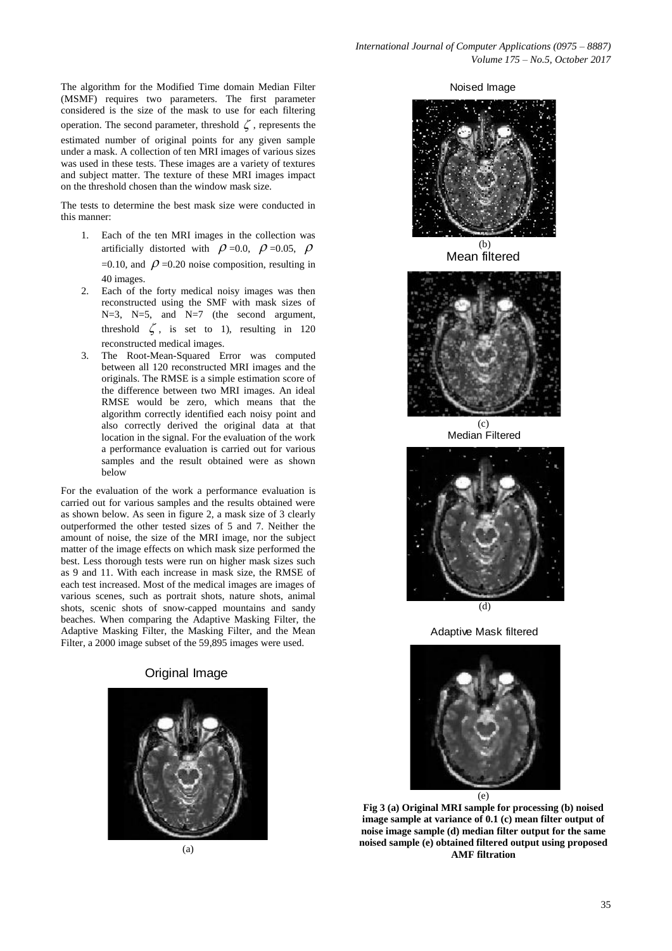The algorithm for the Modified Time domain Median Filter (MSMF) requires two parameters. The first parameter considered is the size of the mask to use for each filtering operation. The second parameter, threshold  $\zeta$ , represents the estimated number of original points for any given sample under a mask. A collection of ten MRI images of various sizes was used in these tests. These images are a variety of textures and subject matter. The texture of these MRI images impact on the threshold chosen than the window mask size.

The tests to determine the best mask size were conducted in this manner:

- 1. Each of the ten MRI images in the collection was artificially distorted with  $\rho = 0.0, \rho = 0.05, \rho$  $=0.10$ , and  $\rho = 0.20$  noise composition, resulting in 40 images.
- 2. Each of the forty medical noisy images was then reconstructed using the SMF with mask sizes of  $N=3$ ,  $N=5$ , and  $N=7$  (the second argument, threshold  $\zeta$ , is set to 1), resulting in 120 reconstructed medical images.
- 3. The Root-Mean-Squared Error was computed between all 120 reconstructed MRI images and the originals. The RMSE is a simple estimation score of the difference between two MRI images. An ideal RMSE would be zero, which means that the algorithm correctly identified each noisy point and also correctly derived the original data at that location in the signal. For the evaluation of the work a performance evaluation is carried out for various samples and the result obtained were as shown below

For the evaluation of the work a performance evaluation is carried out for various samples and the results obtained were as shown below. As seen in figure 2, a mask size of 3 clearly outperformed the other tested sizes of 5 and 7. Neither the amount of noise, the size of the MRI image, nor the subject matter of the image effects on which mask size performed the best. Less thorough tests were run on higher mask sizes such as 9 and 11. With each increase in mask size, the RMSE of each test increased. Most of the medical images are images of various scenes, such as portrait shots, nature shots, animal shots, scenic shots of snow-capped mountains and sandy beaches. When comparing the Adaptive Masking Filter, the Adaptive Masking Filter, the Masking Filter, and the Mean Filter, a 2000 image subset of the 59,895 images were used. a Mean filtered by the control Median Titler (a dominal Mean filtered and the rest of the mask filtered and the control of the Mean filtered Control of the Mean filtered Control of the Mean filtered Adaptive Means for a s



(a)





 $(h)$ 







**Fig 3 (a) Original MRI sample for processing (b) noised image sample at variance of 0.1 (c) mean filter output of noise image sample (d) median filter output for the same noised sample (e) obtained filtered output using proposed AMF filtration**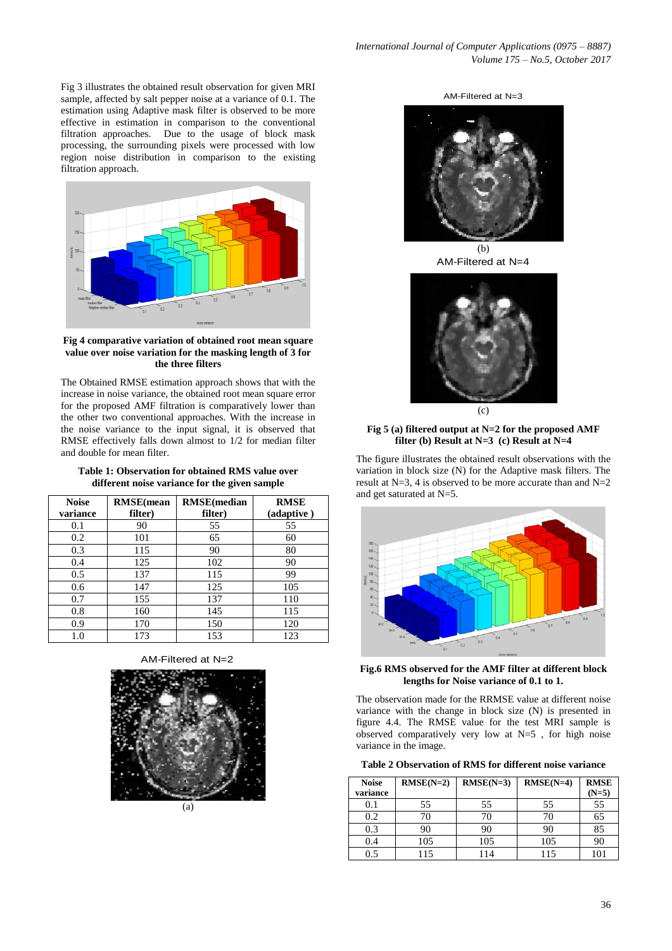Fig 3 illustrates the obtained result observation for given MRI sample, affected by salt pepper noise at a variance of 0.1. The estimation using Adaptive mask filter is observed to be more effective in estimation in comparison to the conventional filtration approaches. Due to the usage of block mask processing, the surrounding pixels were processed with low region noise distribution in comparison to the existing filtration approach.



**Fig 4 comparative variation of obtained root mean square value over noise variation for the masking length of 3 for the three filters**

The Obtained RMSE estimation approach shows that with the increase in noise variance, the obtained root mean square error for the proposed AMF filtration is comparatively lower than the other two conventional approaches. With the increase in the noise variance to the input signal, it is observed that RMSE effectively falls down almost to 1/2 for median filter and double for mean filter.

#### **Table 1: Observation for obtained RMS value over different noise variance for the given sample**

| <b>Noise</b><br>variance | RMSE(mean<br>filter) | <b>RMSE</b> (median<br>filter) | <b>RMSE</b><br>(adaptive) |
|--------------------------|----------------------|--------------------------------|---------------------------|
| 0.1                      | 90                   | 55                             | 55                        |
| 0.2                      | 101                  | 65                             | 60                        |
| 0.3                      | 115                  | 90                             | 80                        |
| 0.4                      | 125                  | 102                            | 90                        |
| 0.5                      | 137                  | 115                            | 99                        |
| 0.6                      | 147                  | 125                            | 105                       |
| 0.7                      | 155                  | 137                            | 110                       |
| 0.8                      | 160                  | 145                            | 115                       |
| 0.9                      | 170                  | 150                            | 120                       |
| 1.0                      | 173                  | 153                            | 123                       |

AM-Filtered at N=2









AM-Filtered at N=4





**Fig 5 (a) filtered output at N=2 for the proposed AMF filter (b) Result at N=3 (c) Result at N=4**

The figure illustrates the obtained result observations with the variation in block size (N) for the Adaptive mask filters. The result at  $N=3$ , 4 is observed to be more accurate than and  $N=2$ and get saturated at N=5.



**Fig.6 RMS observed for the AMF filter at different block lengths for Noise variance of 0.1 to 1.**

The observation made for the RRMSE value at different noise variance with the change in block size (N) is presented in figure 4.4. The RMSE value for the test MRI sample is observed comparatively very low at N=5 , for high noise variance in the image.

**Table 2 Observation of RMS for different noise variance**

| <b>Noise</b><br>variance | $RMSE(N=2)$ | $RMSE(N=3)$ | $RMSE(N=4)$ | <b>RMSE</b><br>$(N=5)$ |
|--------------------------|-------------|-------------|-------------|------------------------|
| 0.1                      | 55          | 55          | 55          | 55                     |
| 0.2                      | 70          | 70          | 70          | 65                     |
| 0.3                      | 90          | 90          | 90          | 85                     |
| 0.4                      | 105         | 105         | 105         | 90                     |
| 0.5                      | 115         | 14          | 115         |                        |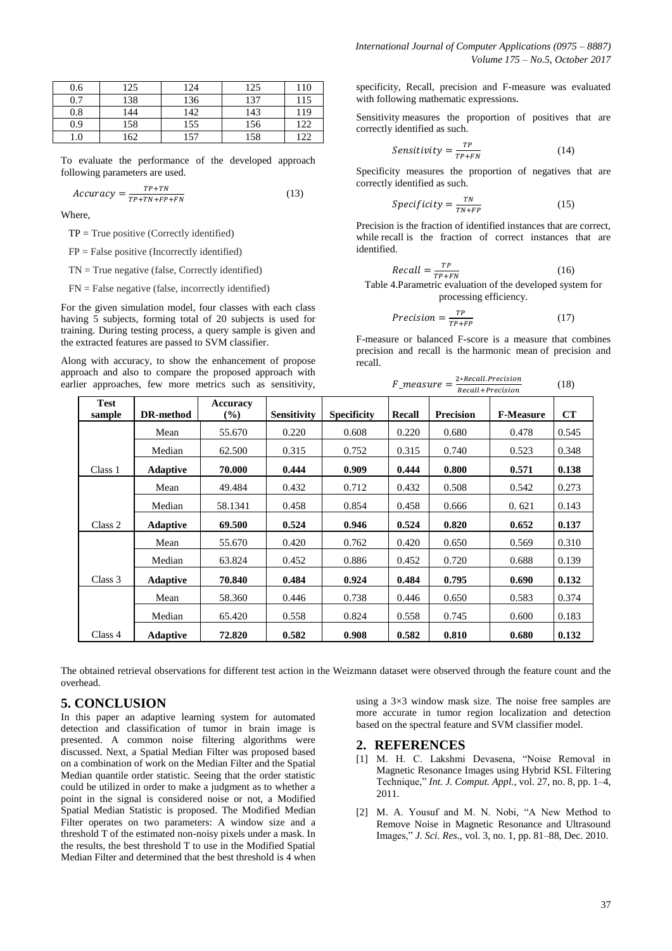| 0.6 | 125 | 124 | 125 | 110 |
|-----|-----|-----|-----|-----|
| 0.7 | 138 | 136 | 137 | 115 |
| 0.8 | 144 | 142 | 143 | 119 |
| 0.9 | 158 | 155 | 156 | 122 |
|     | 162 | 157 | 158 | 122 |

To evaluate the performance of the developed approach following parameters are used.

$$
Accuracy = \frac{TP + TN}{TP + TN + FP + FN}
$$
 (13)

Where,

 $TP = True$  positive (Correctly identified)

 $FP = False positive$  (Incorrectly identified)

 $TN = True$  negative (false, Correctly identified)

 $FN = False$  negative (false, incorrectly identified)

For the given simulation model, four classes with each class having 5 subjects, forming total of 20 subjects is used for training. During testing process, a query sample is given and the extracted features are passed to SVM classifier.

Along with accuracy, to show the enhancement of propose approach and also to compare the proposed approach with earlier approaches, few more metrics such as sensitivity,

specificity, Recall, precision and F-measure was evaluated with following mathematic expressions.

Sensitivity measures the proportion of positives that are correctly identified as such.

$$
Sensitivity = \frac{TP}{TP+FN}
$$
 (14)

Specificity measures the proportion of negatives that are correctly identified as such.

$$
Specificity = \frac{TN}{TN + FP}
$$
 (15)

Precision is the fraction of identified instances that are correct, while recall is the fraction of correct instances that are identified.

$$
Recall = \frac{TP}{TP + FN} \tag{16}
$$

Table 4.Parametric evaluation of the developed system for processing efficiency.

$$
Precision = \frac{TP}{TP + FP}
$$
 (17)

F-measure or balanced F-score is a measure that combines precision and recall is the harmonic mean of precision and recall.

| er approaches, few more metrics such as sensitivity, |                 |                           | $F$ <i>_measure = <math>\frac{2*Recall.Precision}{2*Recall.Precision}</math></i><br>Recall+Precision |                    |        | (18)             |                  |           |
|------------------------------------------------------|-----------------|---------------------------|------------------------------------------------------------------------------------------------------|--------------------|--------|------------------|------------------|-----------|
| <b>Test</b><br>sample                                | DR-method       | <b>Accuracy</b><br>$(\%)$ | <b>Sensitivity</b>                                                                                   | <b>Specificity</b> | Recall | <b>Precision</b> | <b>F-Measure</b> | <b>CT</b> |
|                                                      | Mean            | 55.670                    | 0.220                                                                                                | 0.608              | 0.220  | 0.680            | 0.478            | 0.545     |
|                                                      | Median          | 62.500                    | 0.315                                                                                                | 0.752              | 0.315  | 0.740            | 0.523            | 0.348     |
| Class 1                                              | <b>Adaptive</b> | 70.000                    | 0.444                                                                                                | 0.909              | 0.444  | 0.800            | 0.571            | 0.138     |
|                                                      | Mean            | 49.484                    | 0.432                                                                                                | 0.712              | 0.432  | 0.508            | 0.542            | 0.273     |
|                                                      | Median          | 58.1341                   | 0.458                                                                                                | 0.854              | 0.458  | 0.666            | 0.621            | 0.143     |
| Class 2                                              | <b>Adaptive</b> | 69.500                    | 0.524                                                                                                | 0.946              | 0.524  | 0.820            | 0.652            | 0.137     |
|                                                      | Mean            | 55.670                    | 0.420                                                                                                | 0.762              | 0.420  | 0.650            | 0.569            | 0.310     |
|                                                      | Median          | 63.824                    | 0.452                                                                                                | 0.886              | 0.452  | 0.720            | 0.688            | 0.139     |
| Class 3                                              | <b>Adaptive</b> | 70.840                    | 0.484                                                                                                | 0.924              | 0.484  | 0.795            | 0.690            | 0.132     |
|                                                      | Mean            | 58.360                    | 0.446                                                                                                | 0.738              | 0.446  | 0.650            | 0.583            | 0.374     |
|                                                      | Median          | 65.420                    | 0.558                                                                                                | 0.824              | 0.558  | 0.745            | 0.600            | 0.183     |
| Class 4                                              | <b>Adaptive</b> | 72.820                    | 0.582                                                                                                | 0.908              | 0.582  | 0.810            | 0.680            | 0.132     |

The obtained retrieval observations for different test action in the Weizmann dataset were observed through the feature count and the overhead.

# **5. CONCLUSION**

In this paper an adaptive learning system for automated detection and classification of tumor in brain image is presented. A common noise filtering algorithms were discussed. Next, a Spatial Median Filter was proposed based on a combination of work on the Median Filter and the Spatial Median quantile order statistic. Seeing that the order statistic could be utilized in order to make a judgment as to whether a point in the signal is considered noise or not, a Modified Spatial Median Statistic is proposed. The Modified Median Filter operates on two parameters: A window size and a threshold T of the estimated non-noisy pixels under a mask. In the results, the best threshold T to use in the Modified Spatial Median Filter and determined that the best threshold is 4 when

using a  $3\times3$  window mask size. The noise free samples are more accurate in tumor region localization and detection based on the spectral feature and SVM classifier model.

### **2. REFERENCES**

- [1] M. H. C. Lakshmi Devasena, "Noise Removal in Magnetic Resonance Images using Hybrid KSL Filtering Technique," *Int. J. Comput. Appl.*, vol. 27, no. 8, pp. 1–4, 2011.
- [2] M. A. Yousuf and M. N. Nobi, "A New Method to Remove Noise in Magnetic Resonance and Ultrasound Images," *J. Sci. Res.*, vol. 3, no. 1, pp. 81–88, Dec. 2010.